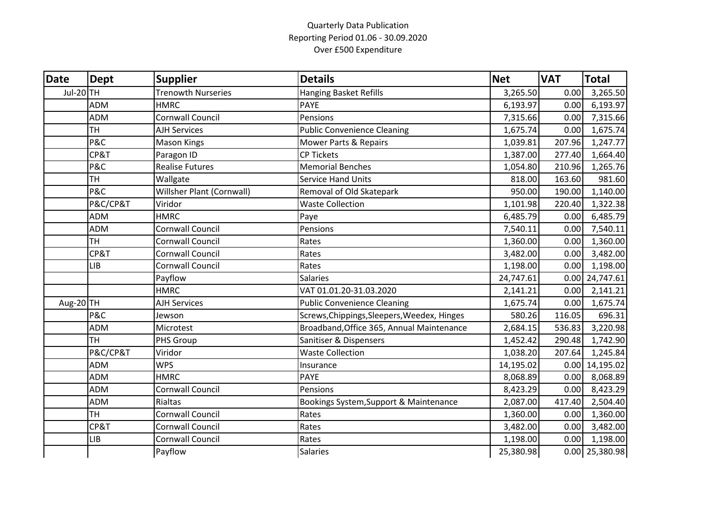## Quarterly Data Publication Reporting Period 01.06 - 30.09.2020 Over £500 Expenditure

| <b>Date</b> | Dept       | <b>Supplier</b>           | <b>Details</b>                              | <b>Net</b> | <b>VAT</b> | <b>Total</b>     |
|-------------|------------|---------------------------|---------------------------------------------|------------|------------|------------------|
| Jul-20 TH   |            | <b>Trenowth Nurseries</b> | <b>Hanging Basket Refills</b>               | 3,265.50   | 0.00       | 3,265.50         |
|             | <b>ADM</b> | <b>HMRC</b>               | <b>PAYE</b>                                 | 6,193.97   | 0.00       | 6,193.97         |
|             | <b>ADM</b> | Cornwall Council          | Pensions                                    | 7,315.66   | 0.00       | 7,315.66         |
|             | <b>TH</b>  | <b>AJH Services</b>       | <b>Public Convenience Cleaning</b>          | 1,675.74   | 0.00       | 1,675.74         |
|             | P&C        | <b>Mason Kings</b>        | <b>Mower Parts &amp; Repairs</b>            | 1,039.81   | 207.96     | 1,247.77         |
|             | CP&T       | Paragon ID                | <b>CP Tickets</b>                           | 1,387.00   | 277.40     | 1,664.40         |
|             | P&C        | <b>Realise Futures</b>    | <b>Memorial Benches</b>                     | 1,054.80   | 210.96     | 1,265.76         |
|             | <b>TH</b>  | Wallgate                  | <b>Service Hand Units</b>                   | 818.00     | 163.60     | 981.60           |
|             | P&C        | Willsher Plant (Cornwall) | Removal of Old Skatepark                    | 950.00     | 190.00     | 1,140.00         |
|             | P&C/CP&T   | Viridor                   | <b>Waste Collection</b>                     | 1,101.98   | 220.40     | 1,322.38         |
|             | <b>ADM</b> | <b>HMRC</b>               | Paye                                        | 6,485.79   | 0.00       | 6,485.79         |
|             | <b>ADM</b> | Cornwall Council          | Pensions                                    | 7,540.11   | 0.00       | 7,540.11         |
|             | <b>TH</b>  | <b>Cornwall Council</b>   | Rates                                       | 1,360.00   | 0.00       | 1,360.00         |
|             | CP&T       | Cornwall Council          | Rates                                       | 3,482.00   | 0.00       | 3,482.00         |
|             | LIB        | Cornwall Council          | Rates                                       | 1,198.00   | 0.00       | 1,198.00         |
|             |            | Payflow                   | <b>Salaries</b>                             | 24,747.61  |            | $0.00$ 24,747.61 |
|             |            | <b>HMRC</b>               | VAT 01.01.20-31.03.2020                     | 2,141.21   | 0.00       | 2,141.21         |
| Aug-20TH    |            | <b>AJH Services</b>       | <b>Public Convenience Cleaning</b>          | 1,675.74   | 0.00       | 1,675.74         |
|             | P&C        | Jewson                    | Screws, Chippings, Sleepers, Weedex, Hinges | 580.26     | 116.05     | 696.31           |
|             | <b>ADM</b> | Microtest                 | Broadband, Office 365, Annual Maintenance   | 2,684.15   | 536.83     | 3,220.98         |
|             | <b>TH</b>  | <b>PHS Group</b>          | Sanitiser & Dispensers                      | 1,452.42   | 290.48     | 1,742.90         |
|             | P&C/CP&T   | Viridor                   | <b>Waste Collection</b>                     | 1,038.20   | 207.64     | 1,245.84         |
|             | <b>ADM</b> | <b>WPS</b>                | Insurance                                   | 14,195.02  |            | $0.00$ 14,195.02 |
|             | <b>ADM</b> | <b>HMRC</b>               | <b>PAYE</b>                                 | 8,068.89   | 0.00       | 8,068.89         |
|             | <b>ADM</b> | Cornwall Council          | Pensions                                    | 8,423.29   | 0.00       | 8,423.29         |
|             | <b>ADM</b> | Rialtas                   | Bookings System, Support & Maintenance      | 2,087.00   | 417.40     | 2,504.40         |
|             | <b>TH</b>  | Cornwall Council          | Rates                                       | 1,360.00   | 0.00       | 1,360.00         |
|             | CP&T       | Cornwall Council          | Rates                                       | 3,482.00   | 0.00       | 3,482.00         |
|             | <b>LIB</b> | Cornwall Council          | Rates                                       | 1,198.00   | 0.00       | 1,198.00         |
|             |            | Payflow                   | <b>Salaries</b>                             | 25,380.98  |            | $0.00$ 25,380.98 |